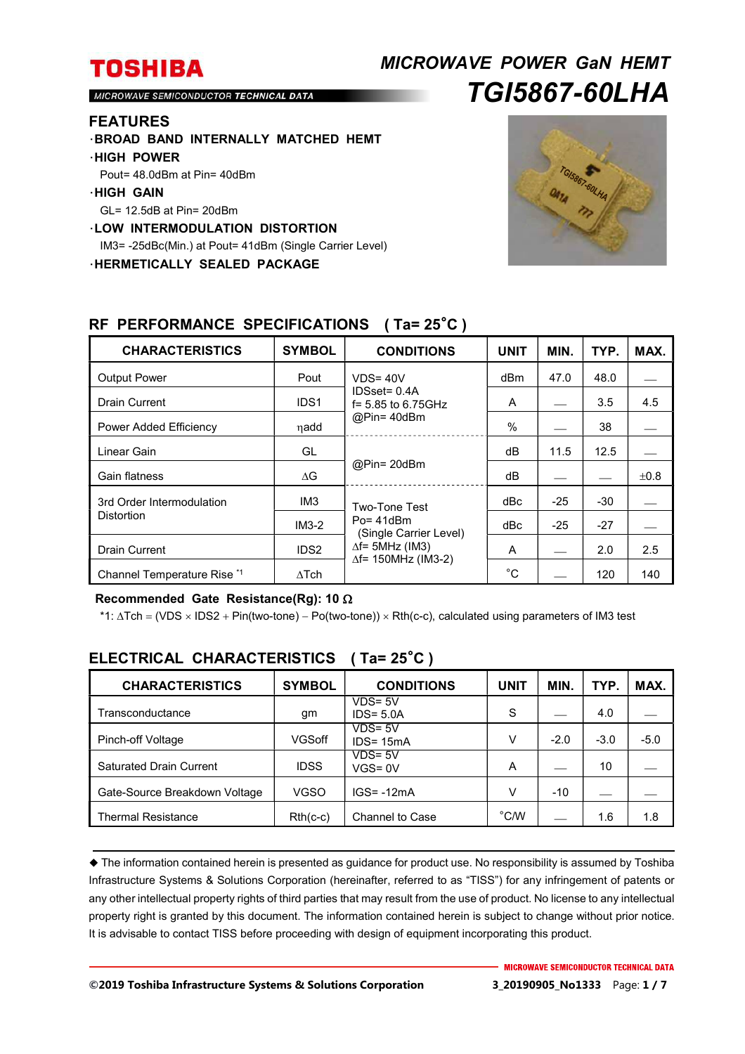## *MICROWAVE POWER GaN HEMT TGI5867-60LHA*

MICROWAVE SEMICONDUCTOR TECHNICAL DATA

### **FEATURES**

- ・**BROAD BAND INTERNALLY MATCHED HEMT**
- ・**HIGH POWER**
- Pout= 48.0dBm at Pin= 40dBm

#### ・**HIGH GAIN**

- GL= 12.5dB at Pin= 20dBm
- ・**LOW INTERMODULATION DISTORTION**

IM3= -25dBc(Min.) at Pout= 41dBm (Single Carrier Level)

・**HERMETICALLY SEALED PACKAGE** 



| <b>CHARACTERISTICS</b>                         | <b>SYMBOL</b>    | <b>CONDITIONS</b>                                                                                                 | <b>UNIT</b> | MIN.  | TYP.  | MAX. |
|------------------------------------------------|------------------|-------------------------------------------------------------------------------------------------------------------|-------------|-------|-------|------|
| <b>Output Power</b>                            | Pout             | $VDS = 40V$<br>$IDSset = 0.4A$<br>$f = 5.85$ to 6.75GHz<br>@Pin=40dBm                                             | dBm         | 47.0  | 48.0  |      |
| <b>Drain Current</b>                           | IDS <sub>1</sub> |                                                                                                                   | A           |       | 3.5   | 4.5  |
| Power Added Efficiency                         | ηadd             |                                                                                                                   | $\%$        |       | 38    |      |
| Linear Gain                                    | GL               | @Pin= 20dBm                                                                                                       | dB          | 11.5  | 12.5  |      |
| Gain flatness                                  | $\Delta G$       |                                                                                                                   | dB          |       |       | ±0.8 |
| 3rd Order Intermodulation<br><b>Distortion</b> | IM <sub>3</sub>  | Two-Tone Test<br>$Po = 41dBm$<br>(Single Carrier Level)<br>$\Delta f$ = 5MHz (IM3)<br>$\Delta f$ = 150MHz (IM3-2) | dBc         | $-25$ | -30   |      |
|                                                | $IM3-2$          |                                                                                                                   | dBc         | $-25$ | $-27$ |      |
| <b>Drain Current</b>                           | IDS <sub>2</sub> |                                                                                                                   | A           |       | 2.0   | 2.5  |
| Channel Temperature Rise *1                    | $\Delta$ Tch     |                                                                                                                   | $^{\circ}C$ |       | 120   | 140  |

### **RF PERFORMANCE SPECIFICATIONS ( Ta= 25**°**C )**

#### **Recommended Gate Resistance(Rg): 10**

\*1: ∆Tch = (VDS × IDS2 + Pin(two-tone) – Po(two-tone)) × Rth(c-c), calculated using parameters of IM3 test

| <b>CHARACTERISTICS</b>         | <b>SYMBOL</b> | <b>CONDITIONS</b>          | UNIT           | <b>MIN</b> | TYP.   | MAX.   |
|--------------------------------|---------------|----------------------------|----------------|------------|--------|--------|
| Transconductance               | gm            | $VDS = 5V$<br>$IDS = 5.0A$ | S              |            | 4.0    |        |
| Pinch-off Voltage              | VGSoff        | $VDS = 5V$<br>$IDS = 15mA$ | V              | $-2.0$     | $-3.0$ | $-5.0$ |
| <b>Saturated Drain Current</b> | <b>IDSS</b>   | $VDS = 5V$<br>$VGS = 0V$   | A              |            | 10     |        |
| Gate-Source Breakdown Voltage  | <b>VGSO</b>   | $IGS = -12mA$              | V              | $-10$      |        |        |
| <b>Thermal Resistance</b>      | $Rth(c-c)$    | Channel to Case            | $^{\circ}$ C/W |            | 1.6    | 1.8    |

## **ELECTRICAL CHARACTERISTICS ( Ta= 25**°**C )**

 The information contained herein is presented as guidance for product use. No responsibility is assumed by Toshiba Infrastructure Systems & Solutions Corporation (hereinafter, referred to as "TISS") for any infringement of patents or any other intellectual property rights of third parties that may result from the use of product. No license to any intellectual property right is granted by this document. The information contained herein is subject to change without prior notice. It is advisable to contact TISS before proceeding with design of equipment incorporating this product.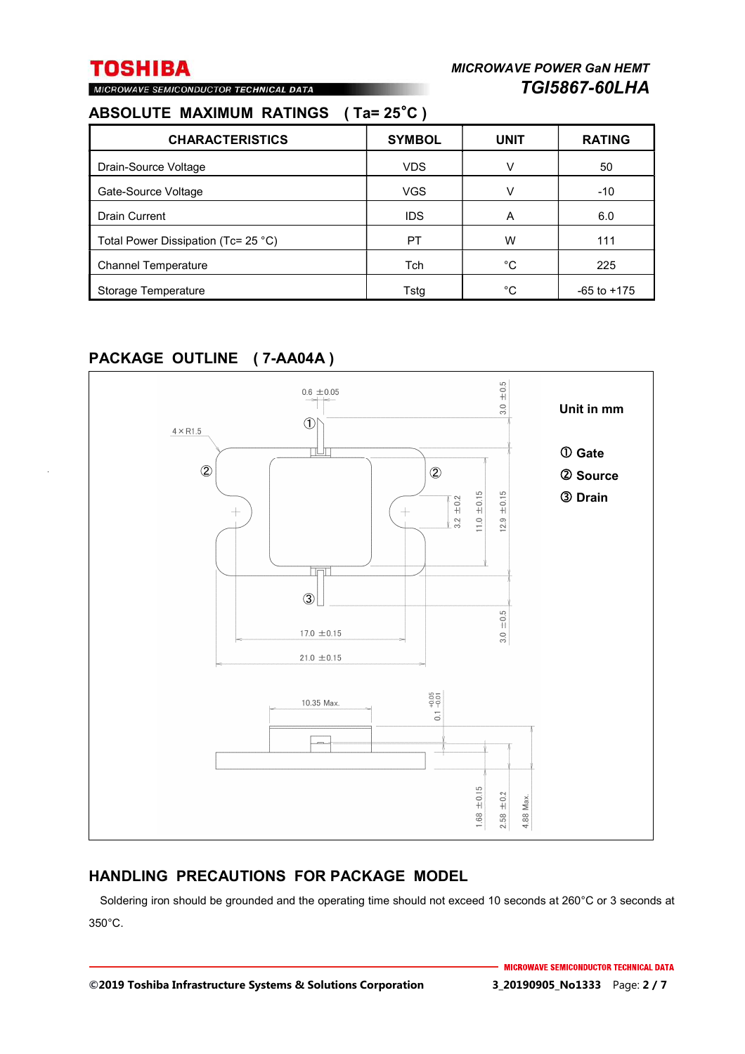## MICROWAVE SEMICONDUCTOR TECHNICAL DATA

## **ABSOLUTE MAXIMUM RATINGS ( Ta= 25**°**C )**

| <b>CHARACTERISTICS</b>                        | <b>SYMBOL</b> | <b>UNIT</b> | <b>RATING</b>   |
|-----------------------------------------------|---------------|-------------|-----------------|
| Drain-Source Voltage                          | <b>VDS</b>    | v           | 50              |
| Gate-Source Voltage                           | <b>VGS</b>    | v           | $-10$           |
| <b>Drain Current</b>                          | <b>IDS</b>    | Α           | 6.0             |
| Total Power Dissipation (Tc= 25 $^{\circ}$ C) | PT            | W           | 111             |
| <b>Channel Temperature</b>                    | Tch           | °C          | 225             |
| Storage Temperature                           | Tsta          | °C          | $-65$ to $+175$ |

## **PACKAGE OUTLINE ( 7-AA04A )**



### **HANDLING PRECAUTIONS FOR PACKAGE MODEL**

Soldering iron should be grounded and the operating time should not exceed 10 seconds at 260°C or 3 seconds at 350°C.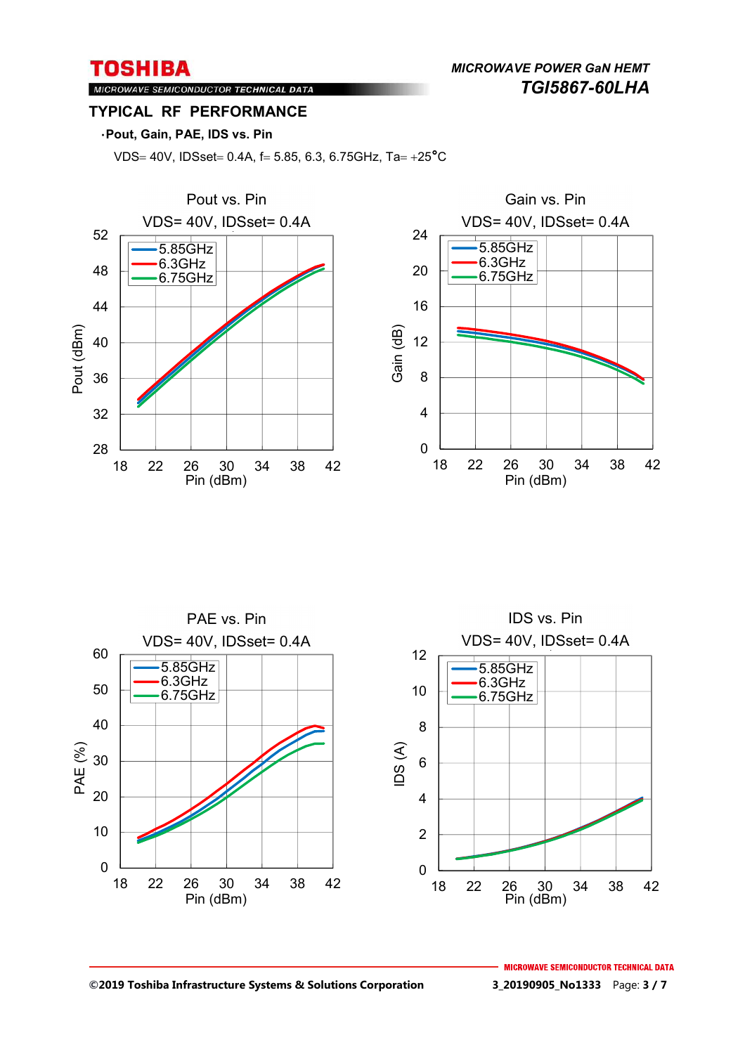*MICROWAVE POWER GaN HEMT TGI5867-60LHA* 

### MICROWAVE SEMICONDUCTOR TECHNICAL DATA **TYPICAL RF PERFORMANCE**

### ・**Pout, Gain, PAE, IDS vs. Pin**

VDS= 40V, IDSset= 0.4A, f= 5.85, 6.3, 6.75GHz, Ta=  $+25^{\circ}$ C





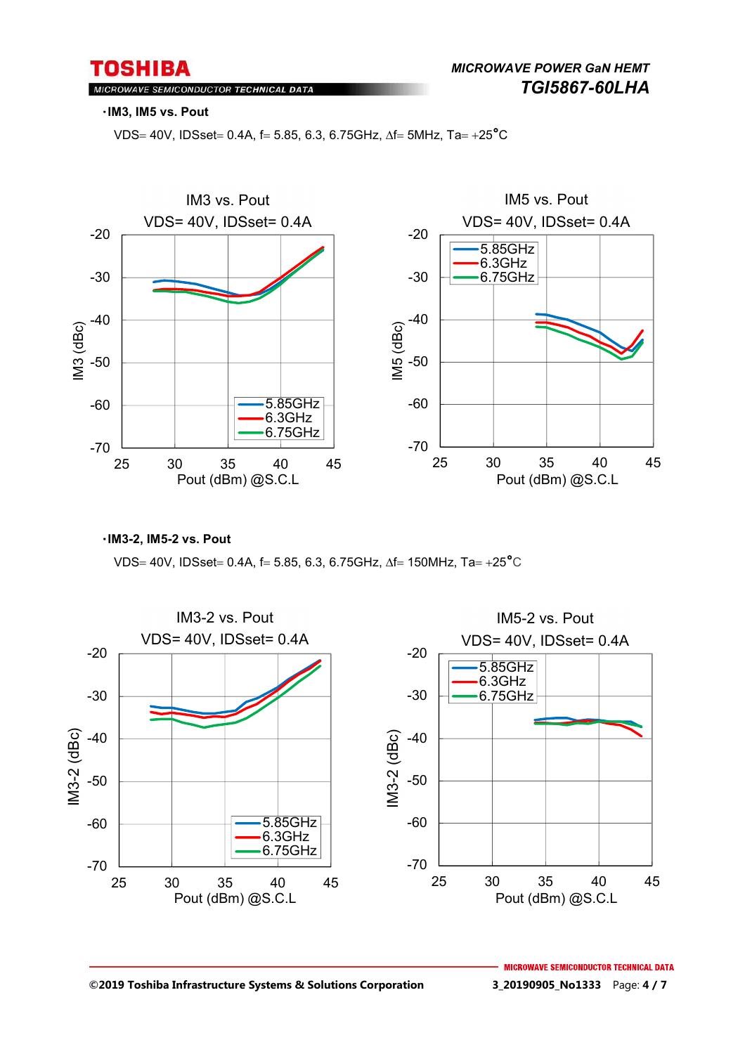### MICROWAVE SEMICONDUCTOR TECHNICAL DATA

#### ・**IM3, IM5 vs. Pout**

VDS= 40V, IDSset = 0.4A, f = 5.85, 6.3, 6.75GHz,  $\Delta f$  = 5MHz, Ta = +25<sup>°</sup>C



・**IM3-2, IM5-2 vs. Pout** 

VDS= 40V, IDSset= 0.4A, f= 5.85, 6.3, 6.75GHz,  $\Delta f = 150$ MHz, Ta= +25°C

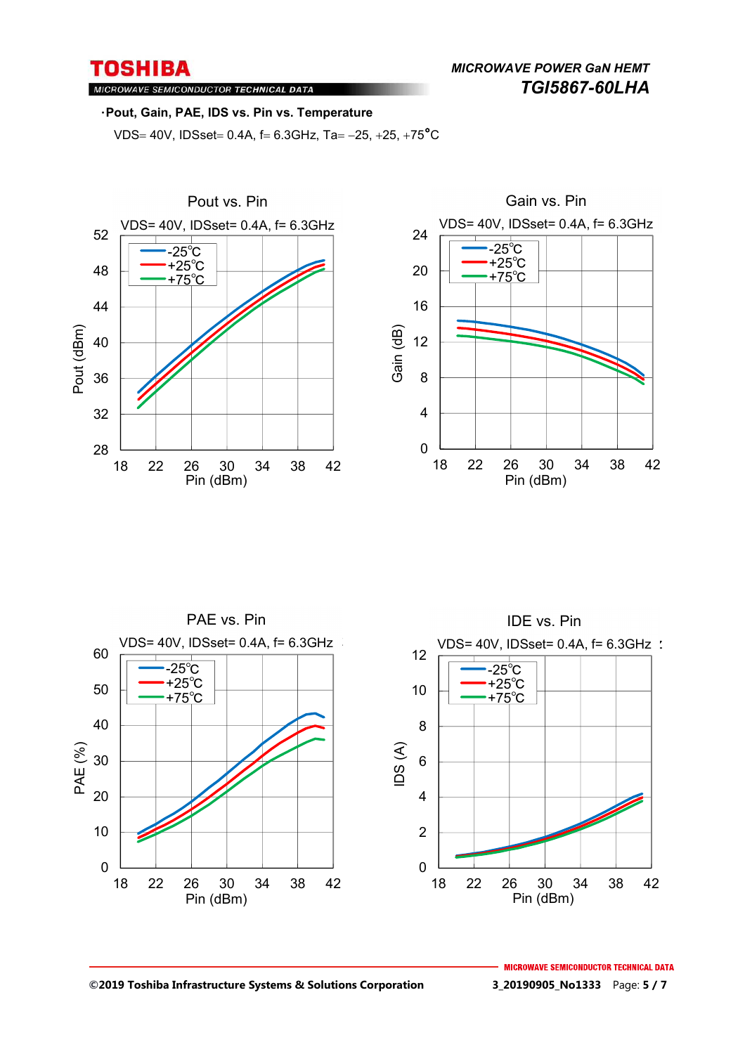MICROWAVE SEMICONDUCTOR TECHNICAL DATA

#### ・**Pout, Gain, PAE, IDS vs. Pin vs. Temperature**

VDS= 40V, IDSset = 0.4A,  $f = 6.3$ GHz, Ta = -25, +25, +75<sup>°</sup>C







#### **©2019 Toshiba Infrastructure Systems & Solutions Corporation 3\_20190905\_No1333** Page: **5 / 7**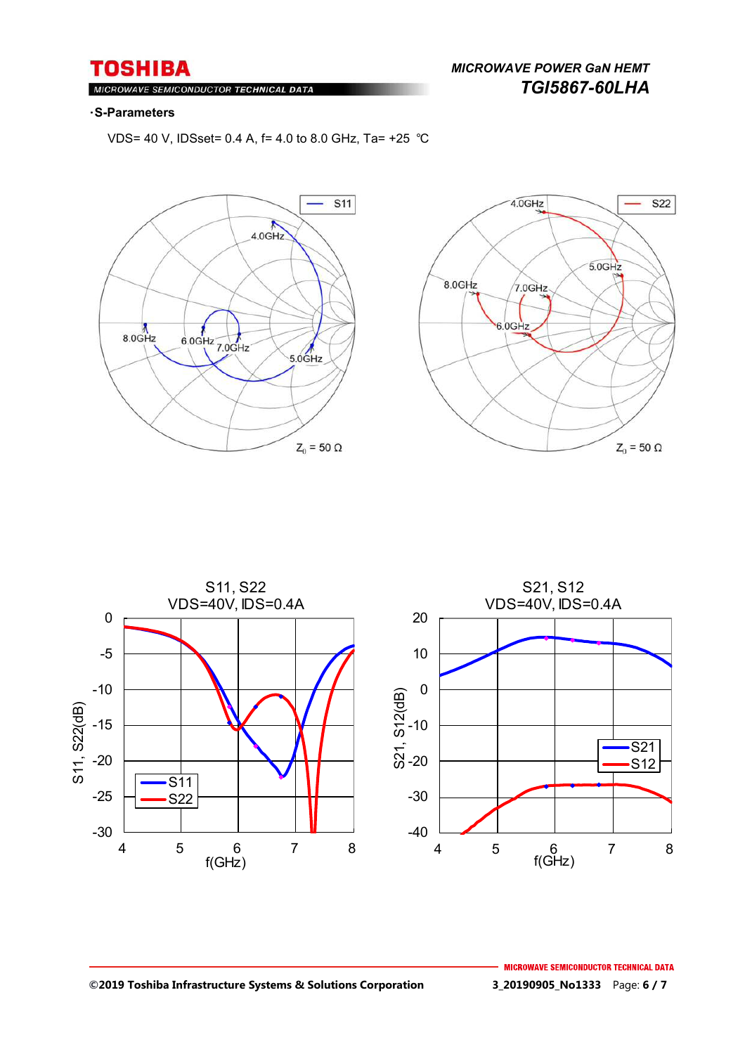$Ml$ ROWAVE SEMICONDUCTOR TECHNICAL DATA

## *MICROWAVE POWER GaN HEMT TGI5867-60LHA*

#### ・**S-Parameters**

VDS= 40 V, IDSset= 0.4 A, f= 4.0 to 8.0 GHz, Ta= +25 ℃







#### **©2019 Toshiba Infrastructure Systems & Solutions Corporation 3\_20190905\_No1333** Page: **6 / 7**

**MICROWAVE SEMICONDUCTOR TECHNICAL DATA**